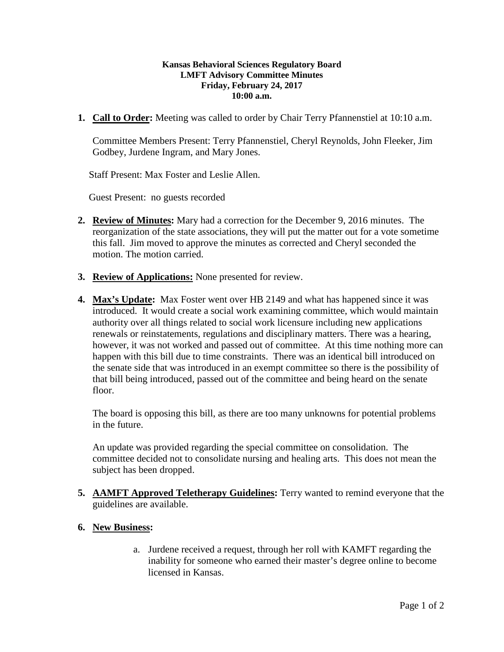## **Kansas Behavioral Sciences Regulatory Board LMFT Advisory Committee Minutes Friday, February 24, 2017 10:00 a.m.**

**1. Call to Order:** Meeting was called to order by Chair Terry Pfannenstiel at 10:10 a.m.

Committee Members Present: Terry Pfannenstiel, Cheryl Reynolds, John Fleeker, Jim Godbey, Jurdene Ingram, and Mary Jones.

Staff Present: Max Foster and Leslie Allen.

Guest Present: no guests recorded

- **2. Review of Minutes:** Mary had a correction for the December 9, 2016 minutes. The reorganization of the state associations, they will put the matter out for a vote sometime this fall. Jim moved to approve the minutes as corrected and Cheryl seconded the motion. The motion carried.
- **3. Review of Applications:** None presented for review.
- **4. Max's Update:** Max Foster went over HB 2149 and what has happened since it was introduced. It would create a social work examining committee, which would maintain authority over all things related to social work licensure including new applications renewals or reinstatements, regulations and disciplinary matters. There was a hearing, however, it was not worked and passed out of committee. At this time nothing more can happen with this bill due to time constraints. There was an identical bill introduced on the senate side that was introduced in an exempt committee so there is the possibility of that bill being introduced, passed out of the committee and being heard on the senate floor.

The board is opposing this bill, as there are too many unknowns for potential problems in the future.

An update was provided regarding the special committee on consolidation. The committee decided not to consolidate nursing and healing arts. This does not mean the subject has been dropped.

- **5. AAMFT Approved Teletherapy Guidelines:** Terry wanted to remind everyone that the guidelines are available.
- **6. New Business:**
	- a. Jurdene received a request, through her roll with KAMFT regarding the inability for someone who earned their master's degree online to become licensed in Kansas.